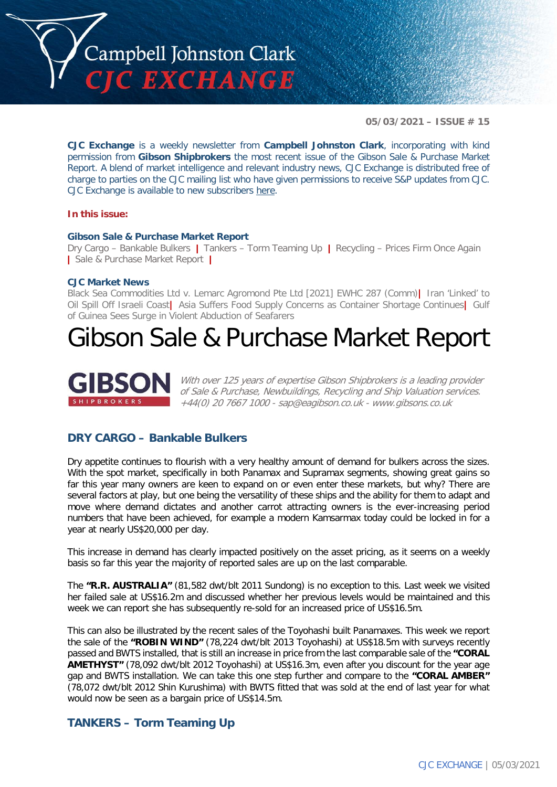

**05/03/2021 – ISSUE # 15**

**CJC Exchange** is a weekly newsletter from **Campbell Johnston Clark**, incorporating with kind permission from **Gibson Shipbrokers** the most recent issue of the Gibson Sale & Purchase Market Report. A blend of market intelligence and relevant industry news, CJC Exchange is distributed free of charge to parties on the CJC mailing list who have given permissions to receive S&P updates from CJC. CJC Exchange is available to new subscribers [here.](mailto:jamesc@cjclaw.com?subject=CJC%20Exchange%20sign-up)

### **In this issue:**

### **Gibson Sale & Purchase Market Report**

Dry Cargo – Bankable Bulkers **|** Tankers – Torm Teaming Up **|** Recycling – Prices Firm Once Again **|** Sale & Purchase Market Report **|**

### **CJC Market News**

Black Sea Commodities Ltd v. Lemarc Agromond Pte Ltd [2021] EWHC 287 (Comm)**|** Iran 'Linked' to Oil Spill Off Israeli Coast**|** Asia Suffers Food Supply Concerns as Container Shortage Continues**|** Gulf of Guinea Sees Surge in Violent Abduction of Seafarers

## Gibson Sale & Purchase Market Report



With over 125 years of expertise Gibson Shipbrokers is a leading provider of Sale & Purchase, Newbuildings, Recycling and Ship Valuation services. +44(0) 20 7667 1000 - [sap@eagibson.co.uk](mailto:sap@eagibson.co.uk) - [www.gibsons.co.uk](https://protect-eu.mimecast.com/s/VO6nCGZzRS60KqcK1jQh/)

### **DRY CARGO – Bankable Bulkers**

Dry appetite continues to flourish with a very healthy amount of demand for bulkers across the sizes. With the spot market, specifically in both Panamax and Supramax segments, showing great gains so far this year many owners are keen to expand on or even enter these markets, but why? There are several factors at play, but one being the versatility of these ships and the ability for them to adapt and move where demand dictates and another carrot attracting owners is the ever-increasing period numbers that have been achieved, for example a modern Kamsarmax today could be locked in for a year at nearly US\$20,000 per day.

This increase in demand has clearly impacted positively on the asset pricing, as it seems on a weekly basis so far this year the majority of reported sales are up on the last comparable.

The **"R.R. AUSTRALIA"** (81,582 dwt/blt 2011 Sundong) is no exception to this. Last week we visited her failed sale at US\$16.2m and discussed whether her previous levels would be maintained and this week we can report she has subsequently re-sold for an increased price of US\$16.5m.

This can also be illustrated by the recent sales of the Toyohashi built Panamaxes. This week we report the sale of the **"ROBIN WIND"** (78,224 dwt/blt 2013 Toyohashi) at US\$18.5m with surveys recently passed and BWTS installed, that is still an increase in price from the last comparable sale of the **"CORAL AMETHYST"** (78,092 dwt/blt 2012 Toyohashi) at US\$16.3m, even after you discount for the year age gap and BWTS installation. We can take this one step further and compare to the **"CORAL AMBER"**  (78,072 dwt/blt 2012 Shin Kurushima) with BWTS fitted that was sold at the end of last year for what would now be seen as a bargain price of US\$14.5m.

### **TANKERS – Torm Teaming Up**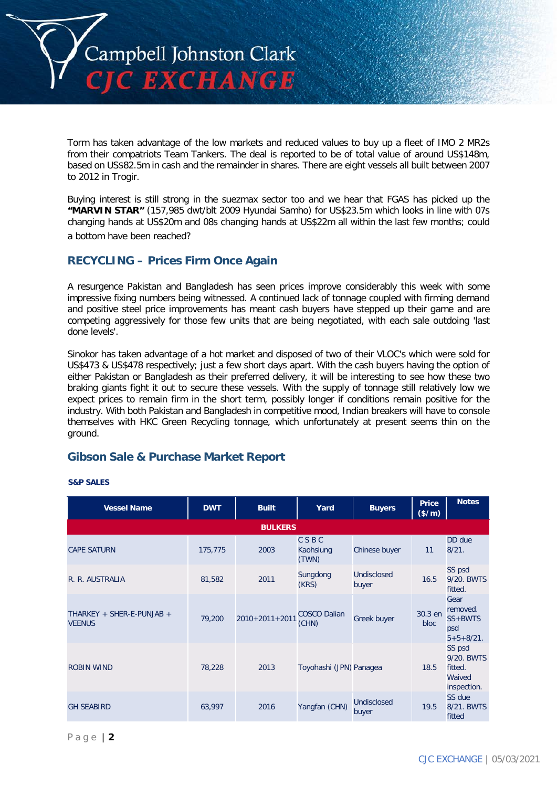

Torm has taken advantage of the low markets and reduced values to buy up a fleet of IMO 2 MR2s from their compatriots Team Tankers. The deal is reported to be of total value of around US\$148m, based on US\$82.5m in cash and the remainder in shares. There are eight vessels all built between 2007 to 2012 in Trogir.

Buying interest is still strong in the suezmax sector too and we hear that FGAS has picked up the **"MARVIN STAR"** (157,985 dwt/blt 2009 Hyundai Samho) for US\$23.5m which looks in line with 07s changing hands at US\$20m and 08s changing hands at US\$22m all within the last few months; could a bottom have been reached?

### **RECYCLING – Prices Firm Once Again**

A resurgence Pakistan and Bangladesh has seen prices improve considerably this week with some impressive fixing numbers being witnessed. A continued lack of tonnage coupled with firming demand and positive steel price improvements has meant cash buyers have stepped up their game and are competing aggressively for those few units that are being negotiated, with each sale outdoing 'last done levels'.

Sinokor has taken advantage of a hot market and disposed of two of their VLOC's which were sold for US\$473 & US\$478 respectively; just a few short days apart. With the cash buyers having the option of either Pakistan or Bangladesh as their preferred delivery, it will be interesting to see how these two braking giants fight it out to secure these vessels. With the supply of tonnage still relatively low we expect prices to remain firm in the short term, possibly longer if conditions remain positive for the industry. With both Pakistan and Bangladesh in competitive mood, Indian breakers will have to console themselves with HKC Green Recycling tonnage, which unfortunately at present seems thin on the ground.

### **Gibson Sale & Purchase Market Report**

| <b>Vessel Name</b>                         | <b>DWT</b> | <b>Built</b>         | Yard                         | <b>Buyers</b>               | Price<br>(\$/m) | <b>Notes</b>                                               |
|--------------------------------------------|------------|----------------------|------------------------------|-----------------------------|-----------------|------------------------------------------------------------|
|                                            |            | <b>BULKERS</b>       |                              |                             |                 |                                                            |
| <b>CAPE SATURN</b>                         | 175,775    | 2003                 | CSBC<br>Kaohsiung<br>(TWN)   | Chinese buyer               | 11              | DD due<br>8/21.                                            |
| R. R. AUSTRALIA                            | 81,582     | 2011                 | Sungdong<br>(KRS)            | <b>Undisclosed</b><br>buyer | 16.5            | SS psd<br>9/20, BWTS<br>fitted.                            |
| THARKEY + SHER-E-PUNJAB +<br><b>VEENUS</b> | 79,200     | $2010 + 2011 + 2011$ | <b>COSCO Dalian</b><br>(CHN) | Greek buyer                 | 30.3 en<br>bloc | Gear<br>removed.<br>$SS + BWTS$<br>psd<br>$5 + 5 + 8/21$ . |
| <b>ROBIN WIND</b>                          | 78,228     | 2013                 | Toyohashi (JPN) Panagea      |                             | 18.5            | SS psd<br>9/20. BWTS<br>fitted.<br>Waived<br>inspection.   |
| <b>GH SEABIRD</b>                          | 63,997     | 2016                 | Yangfan (CHN)                | <b>Undisclosed</b><br>buyer | 19.5            | SS due<br>8/21. BWTS<br>fitted                             |

### **S&P SALES**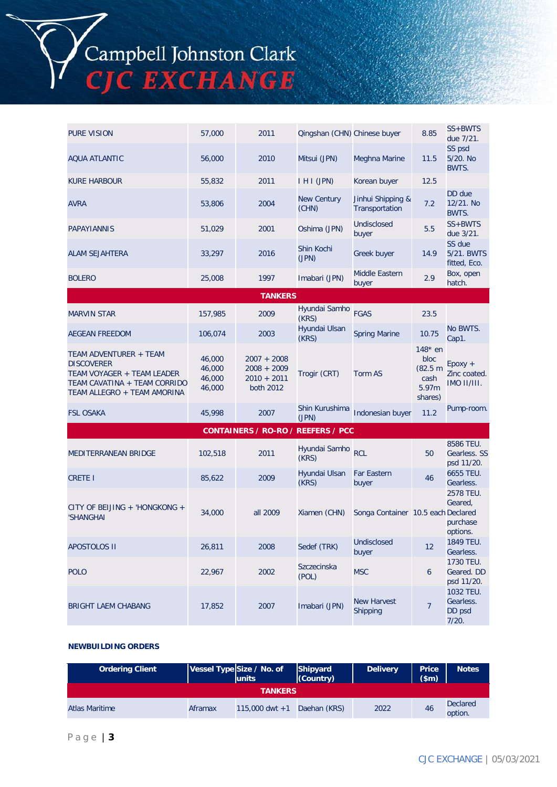# Campbell Johnston Clark<br>CJC EXCHANGE

| <b>PURE VISION</b>                                                                                                                       | 57,000                               | 2011                                                         | Qingshan (CHN) Chinese buyer |                                     | 8.85                                                      | SS+BWTS<br>due 7/21.                         |
|------------------------------------------------------------------------------------------------------------------------------------------|--------------------------------------|--------------------------------------------------------------|------------------------------|-------------------------------------|-----------------------------------------------------------|----------------------------------------------|
| <b>AQUA ATLANTIC</b>                                                                                                                     | 56,000                               | 2010                                                         | Mitsui (JPN)                 | Meghna Marine                       | 11.5                                                      | SS psd<br>5/20. No<br>BWTS.                  |
| <b>KURE HARBOUR</b>                                                                                                                      | 55,832                               | 2011                                                         | I H I (JPN)                  | Korean buyer                        | 12.5                                                      |                                              |
| <b>AVRA</b>                                                                                                                              | 53,806                               | 2004                                                         | <b>New Century</b><br>(CHN)  | Jinhui Shipping &<br>Transportation | 7.2                                                       | DD due<br>12/21. No<br>BWTS.                 |
| PAPAYIANNIS                                                                                                                              | 51,029                               | 2001                                                         | Oshima (JPN)                 | Undisclosed<br>buyer                | 5.5                                                       | SS+BWTS<br>due 3/21.                         |
| <b>ALAM SEJAHTERA</b>                                                                                                                    | 33,297                               | 2016                                                         | Shin Kochi<br>(JPN)          | Greek buyer                         | 14.9                                                      | SS due<br>5/21. BWTS<br>fitted, Eco.         |
| <b>BOLERO</b>                                                                                                                            | 25,008                               | 1997                                                         | Imabari (JPN)                | Middle Eastern<br>buyer             | 2.9                                                       | Box, open<br>hatch.                          |
|                                                                                                                                          |                                      | <b>TANKERS</b>                                               |                              |                                     |                                                           |                                              |
| <b>MARVIN STAR</b>                                                                                                                       | 157,985                              | 2009                                                         | Hyundai Samho<br>(KRS)       | <b>FGAS</b>                         | 23.5                                                      |                                              |
| <b>AEGEAN FREEDOM</b>                                                                                                                    | 106,074                              | 2003                                                         | Hyundai Ulsan<br>(KRS)       | <b>Spring Marine</b>                | 10.75                                                     | No BWTS.<br>Cap1.                            |
| TEAM ADVENTURER + TEAM<br><b>DISCOVERER</b><br>TEAM VOYAGER + TEAM LEADER<br>TEAM CAVATINA + TEAM CORRIDO<br>TEAM ALLEGRO + TEAM AMORINA | 46,000<br>46,000<br>46,000<br>46,000 | $2007 + 2008$<br>$2008 + 2009$<br>$2010 + 2011$<br>both 2012 | Trogir (CRT)                 | Torm AS                             | $148*$ en<br>bloc<br>(82.5 m)<br>cash<br>5.97m<br>shares) | $E$ poxy +<br>Zinc coated.<br>IMO II/III.    |
| <b>FSL OSAKA</b>                                                                                                                         | 45,998                               | 2007                                                         | Shin Kurushima<br>(JPN)      | Indonesian buyer                    | 11.2                                                      | Pump-room.                                   |
|                                                                                                                                          |                                      | CONTAINERS / RO-RO / REEFERS / PCC                           |                              |                                     |                                                           |                                              |
| MEDITERRANEAN BRIDGE                                                                                                                     | 102,518                              | 2011                                                         | Hyundai Samho<br>(KRS)       | <b>RCL</b>                          | 50                                                        | 8586 TEU.<br>Gearless. SS<br>psd 11/20.      |
| <b>CRETE I</b>                                                                                                                           | 85,622                               | 2009                                                         | Hyundai Ulsan<br>(KRS)       | <b>Far Eastern</b><br>buyer         | 46                                                        | 6655 TEU.<br>Gearless.                       |
| CITY OF BEIJING + 'HONGKONG +<br>'SHANGHAI                                                                                               | 34,000                               | all 2009                                                     | Xiamen (CHN)                 | Songa Container 10.5 each Declared  |                                                           | 2578 TEU.<br>Geared,<br>purchase<br>options. |
| <b>APOSTOLOS II</b>                                                                                                                      | 26,811                               | 2008                                                         | Sedef (TRK)                  | Undisclosed<br>buyer                | 12                                                        | 1849 TEU.<br>Gearless.                       |
| <b>POLO</b>                                                                                                                              | 22,967                               | 2002                                                         | <b>Szczecinska</b><br>(POL)  | <b>MSC</b>                          | 6                                                         | 1730 TEU.<br>Geared. DD<br>psd 11/20.        |
| <b>BRIGHT LAEM CHABANG</b>                                                                                                               | 17,852                               | 2007                                                         | Imabari (JPN)                | <b>New Harvest</b><br>Shipping      | 7                                                         | 1032 TEU.<br>Gearless.<br>DD psd<br>7/20.    |

### **NEWBUILDING ORDERS**

| <b>Ordering Client</b> |         | Vessel Type Size / No. of<br><b>lunits</b> | Shipyard<br>(Country) | <b>Delivery</b> | <b>Price</b><br>\$m\$ | <b>Notes</b>               |  |
|------------------------|---------|--------------------------------------------|-----------------------|-----------------|-----------------------|----------------------------|--|
| <b>TANKERS</b>         |         |                                            |                       |                 |                       |                            |  |
| <b>Atlas Maritime</b>  | Aframax | $115,000$ dwt +1                           | Daehan (KRS)          | 2022            | 46                    | <b>Declared</b><br>option. |  |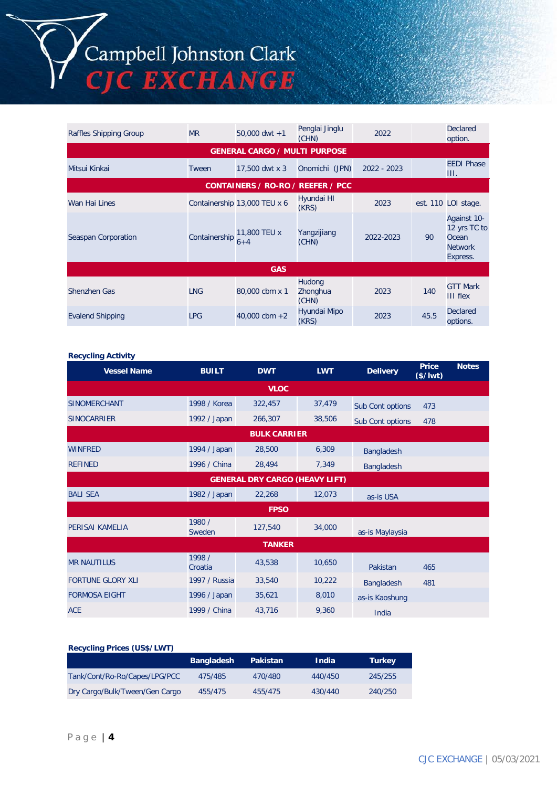## Campbell Johnston Clark<br>CJC EXCHANGE

| Raffles Shipping Group  | <b>MR</b>     | $50,000$ dwt +1                      | Penglai Jinglu<br>(CHN)     | 2022          |      | <b>Declared</b><br>option.                                         |
|-------------------------|---------------|--------------------------------------|-----------------------------|---------------|------|--------------------------------------------------------------------|
|                         |               | <b>GENERAL CARGO / MULTI PURPOSE</b> |                             |               |      |                                                                    |
| Mitsui Kinkai           | Tween         | 17,500 dwt x 3                       | Onomichi (JPN)              | $2022 - 2023$ |      | <b>EEDI Phase</b><br>III.                                          |
|                         |               | CONTAINERS / RO-RO / REEFER / PCC    |                             |               |      |                                                                    |
| Wan Hai Lines           |               | Containership 13,000 TEU x 6         | Hyundai HI<br>(KRS)         | 2023          |      | est. 110 LOI stage.                                                |
| Seaspan Corporation     | Containership | 11,800 TEU x<br>$6 + 4$              | Yangzijiang<br>(CHN)        | 2022-2023     | 90   | Against 10-<br>12 yrs TC to<br>Ocean<br><b>Network</b><br>Express. |
|                         |               | <b>GAS</b>                           |                             |               |      |                                                                    |
| Shenzhen Gas            | <b>LNG</b>    | 80,000 cbm x 1                       | Hudong<br>Zhonghua<br>(CHN) | 2023          | 140  | <b>GTT Mark</b><br><b>III flex</b>                                 |
| <b>Evalend Shipping</b> | <b>LPG</b>    | $40,000$ cbm $+2$                    | Hyundai Mipo<br>(KRS)       | 2023          | 45.5 | <b>Declared</b><br>options.                                        |

#### **Recycling Activity**

| <b>Vessel Name</b>                    | <b>BUILT</b>      | <b>DWT</b>          | <b>LWT</b> | <b>Delivery</b>   | <b>Price</b><br>$($/$ lwt $)$ | <b>Notes</b> |
|---------------------------------------|-------------------|---------------------|------------|-------------------|-------------------------------|--------------|
|                                       |                   | <b>VLOC</b>         |            |                   |                               |              |
| <b>SINOMERCHANT</b>                   | 1998 / Korea      | 322,457             | 37,479     | Sub Cont options  | 473                           |              |
| <b>SINOCARRIER</b>                    | 1992 / Japan      | 266,307             | 38,506     | Sub Cont options  | 478                           |              |
|                                       |                   | <b>BULK CARRIER</b> |            |                   |                               |              |
| <b>WINFRED</b>                        | 1994 / Japan      | 28,500              | 6,309      | <b>Bangladesh</b> |                               |              |
| <b>REFINED</b>                        | 1996 / China      | 28,494              | 7,349      | Bangladesh        |                               |              |
| <b>GENERAL DRY CARGO (HEAVY LIFT)</b> |                   |                     |            |                   |                               |              |
| <b>BALI SEA</b>                       | 1982 / Japan      | 22,268              | 12,073     | as-is USA         |                               |              |
|                                       |                   | <b>FPSO</b>         |            |                   |                               |              |
| PERISAI KAMELIA                       | 1980 /<br>Sweden  | 127,540             | 34,000     | as-is Maylaysia   |                               |              |
|                                       |                   | <b>TANKER</b>       |            |                   |                               |              |
| <b>MR NAUTILUS</b>                    | 1998 /<br>Croatia | 43,538              | 10.650     | Pakistan          | 465                           |              |
| <b>FORTUNE GLORY XLI</b>              | 1997 / Russia     | 33,540              | 10,222     | <b>Bangladesh</b> | 481                           |              |
| <b>FORMOSA EIGHT</b>                  | 1996 / Japan      | 35,621              | 8,010      | as-is Kaoshung    |                               |              |
| <b>ACE</b>                            | 1999 / China      | 43,716              | 9,360      | India             |                               |              |

### **Recycling Prices (US\$/LWT)**

|                                | <b>Bangladesh</b> | Pakistan | <b>India</b> | <b>Turkey</b> |
|--------------------------------|-------------------|----------|--------------|---------------|
| Tank/Cont/Ro-Ro/Capes/LPG/PCC  | 475/485           | 470/480  | 440/450      | 245/255       |
| Dry Cargo/Bulk/Tween/Gen Cargo | 455/475           | 455/475  | 430/440      | 240/250       |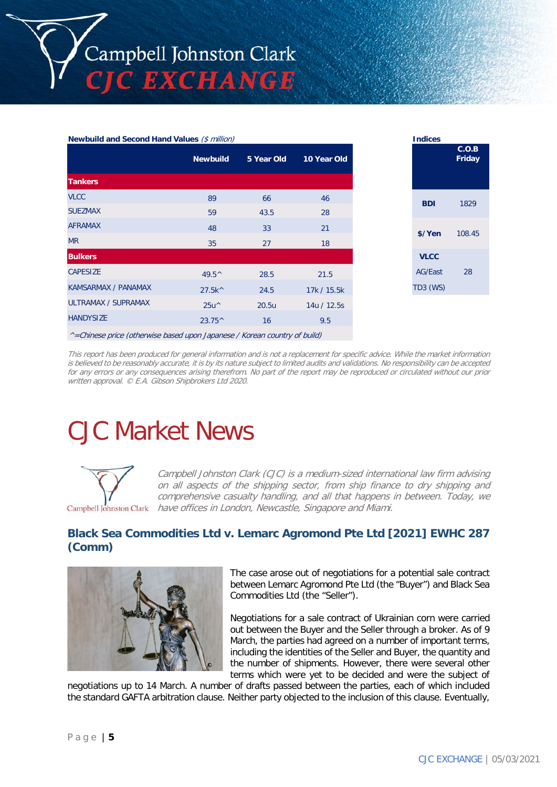| <b>Newbuild and Second Hand Values (\$ million)</b> |  | <b>Indices</b> |
|-----------------------------------------------------|--|----------------|
|                                                     |  |                |

|                            | <b>Newbuild</b>    | 5 Year Old | 10 Year Old |
|----------------------------|--------------------|------------|-------------|
| <b>Tankers</b>             |                    |            |             |
| <b>VLCC</b>                | 89                 | 66         | 46          |
| <b>SUEZMAX</b>             | 59                 | 43.5       | 28          |
| <b>AFRAMAX</b>             | 48                 | 33         | 21          |
| <b>MR</b>                  | 35                 | 27         | 18          |
| <b>Bulkers</b>             |                    |            |             |
| <b>CAPESIZE</b>            | $49.5^{\circ}$     | 28.5       | 21.5        |
| <b>KAMSARMAX / PANAMAX</b> | 27.5k <sup>^</sup> | 24.5       | 17k / 15.5k |
| ULTRAMAX / SUPRAMAX        | $25u^{\wedge}$     | 20.5u      | 14u / 12.5s |
| <b>HANDYSIZE</b>           | $23.75^{\circ}$    | 16         | 9.5         |
|                            |                    |            |             |

| <b>Indices</b>                                   |                 |
|--------------------------------------------------|-----------------|
|                                                  | C.O.B<br>Friday |
| BDI                                              | 1829            |
| \$/Yen                                           | 108.45          |
| <b>VLCC</b><br><b>AG/East</b><br><b>TD3 (WS)</b> | 28              |
|                                                  |                 |

 $^{\wedge}$  = Chinese price (otherwise based upon Japanese / Korean country of build)

This report has been produced for general information and is not a replacement for specific advice. While the market information is believed to be reasonably accurate, it is by its nature subject to limited audits and validations. No responsibility can be accepted for any errors or any consequences arising therefrom. No part of the report may be reproduced or circulated without our prior written approval. © E.A. Gibson Shipbrokers Ltd 2020.

### CJC Market News



Campbell Johnston Clark (CJC) is a medium-sized international law firm advising on all aspects of the shipping sector, from ship finance to dry shipping and comprehensive casualty handling, and all that happens in between. Today, we Campbell Johnston Clark have offices in London, Newcastle, Singapore and Miami.

### **Black Sea Commodities Ltd v. Lemarc Agromond Pte Ltd [2021] EWHC 287 (Comm)**



The case arose out of negotiations for a potential sale contract between Lemarc Agromond Pte Ltd (the "Buyer") and Black Sea Commodities Ltd (the "Seller").

Negotiations for a sale contract of Ukrainian corn were carried out between the Buyer and the Seller through a broker. As of 9 March, the parties had agreed on a number of important terms, including the identities of the Seller and Buyer, the quantity and the number of shipments. However, there were several other terms which were yet to be decided and were the subject of

negotiations up to 14 March. A number of drafts passed between the parties, each of which included the standard GAFTA arbitration clause. Neither party objected to the inclusion of this clause. Eventually,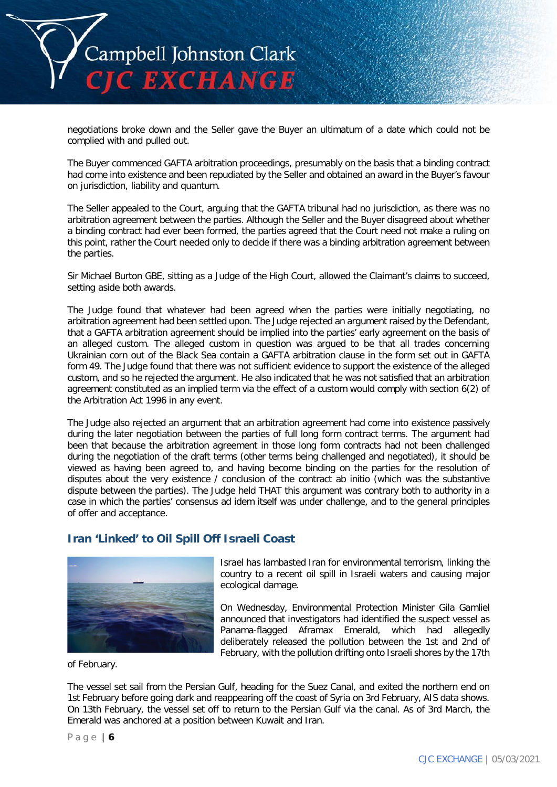

negotiations broke down and the Seller gave the Buyer an ultimatum of a date which could not be complied with and pulled out.

The Buyer commenced GAFTA arbitration proceedings, presumably on the basis that a binding contract had come into existence and been repudiated by the Seller and obtained an award in the Buyer's favour on jurisdiction, liability and quantum.

The Seller appealed to the Court, arguing that the GAFTA tribunal had no jurisdiction, as there was no arbitration agreement between the parties. Although the Seller and the Buyer disagreed about whether a binding contract had ever been formed, the parties agreed that the Court need not make a ruling on this point, rather the Court needed only to decide if there was a binding arbitration agreement between the parties.

Sir Michael Burton GBE, sitting as a Judge of the High Court, allowed the Claimant's claims to succeed, setting aside both awards.

The Judge found that whatever had been agreed when the parties were initially negotiating, no arbitration agreement had been settled upon. The Judge rejected an argument raised by the Defendant, that a GAFTA arbitration agreement should be implied into the parties' early agreement on the basis of an alleged custom. The alleged custom in question was argued to be that all trades concerning Ukrainian corn out of the Black Sea contain a GAFTA arbitration clause in the form set out in GAFTA form 49. The Judge found that there was not sufficient evidence to support the existence of the alleged custom, and so he rejected the argument. He also indicated that he was not satisfied that an arbitration agreement constituted as an implied term via the effect of a custom would comply with section 6(2) of the Arbitration Act 1996 in any event.

The Judge also rejected an argument that an arbitration agreement had come into existence passively during the later negotiation between the parties of full long form contract terms. The argument had been that because the arbitration agreement in those long form contracts had not been challenged during the negotiation of the draft terms (other terms being challenged and negotiated), it should be viewed as having been agreed to, and having become binding on the parties for the resolution of disputes about the very existence / conclusion of the contract ab initio (which was the substantive dispute between the parties). The Judge held THAT this argument was contrary both to authority in a case in which the parties' consensus ad idem itself was under challenge, and to the general principles of offer and acceptance.

### **Iran 'Linked' to Oil Spill Off Israeli Coast**



Israel has lambasted Iran for environmental terrorism, linking the country to a recent oil spill in Israeli waters and causing major ecological damage.

On Wednesday, Environmental Protection Minister Gila Gamliel announced that investigators had identified the suspect vessel as Panama-flagged Aframax Emerald, which had allegedly deliberately released the pollution between the 1st and 2nd of February, with the pollution drifting onto Israeli shores by the 17th

of February.

The vessel set sail from the Persian Gulf, heading for the Suez Canal, and exited the northern end on 1st February before going dark and reappearing off the coast of Syria on 3rd February, AIS data shows. On 13th February, the vessel set off to return to the Persian Gulf via the canal. As of 3rd March, the Emerald was anchored at a position between Kuwait and Iran.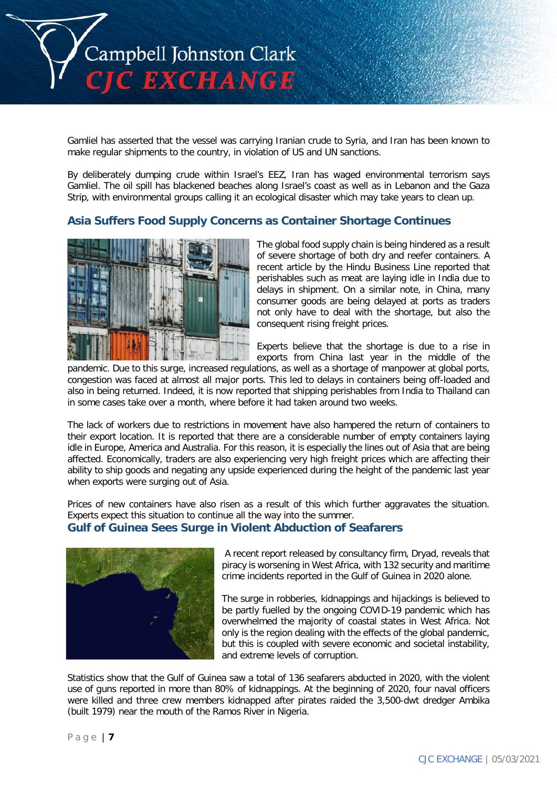

Gamliel has asserted that the vessel was carrying Iranian crude to Syria, and Iran has been known to make regular shipments to the country, in violation of US and UN sanctions.

By deliberately dumping crude within Israel's EEZ, Iran has waged environmental terrorism says Gamliel. The oil spill has blackened beaches along Israel's coast as well as in Lebanon and the Gaza Strip, with environmental groups calling it an ecological disaster which may take years to clean up.

### **Asia Suffers Food Supply Concerns as Container Shortage Continues**



The global food supply chain is being hindered as a result of severe shortage of both dry and reefer containers. A recent article by the Hindu Business Line reported that perishables such as meat are laying idle in India due to delays in shipment. On a similar note, in China, many consumer goods are being delayed at ports as traders not only have to deal with the shortage, but also the consequent rising freight prices.

Experts believe that the shortage is due to a rise in exports from China last year in the middle of the

pandemic. Due to this surge, increased regulations, as well as a shortage of manpower at global ports, congestion was faced at almost all major ports. This led to delays in containers being off-loaded and also in being returned. Indeed, it is now reported that shipping perishables from India to Thailand can in some cases take over a month, where before it had taken around two weeks.

The lack of workers due to restrictions in movement have also hampered the return of containers to their export location. It is reported that there are a considerable number of empty containers laying idle in Europe, America and Australia. For this reason, it is especially the lines out of Asia that are being affected. Economically, traders are also experiencing very high freight prices which are affecting their ability to ship goods and negating any upside experienced during the height of the pandemic last year when exports were surging out of Asia.

Prices of new containers have also risen as a result of this which further aggravates the situation. Experts expect this situation to continue all the way into the summer. **Gulf of Guinea Sees Surge in Violent Abduction of Seafarers**



A recent report released by consultancy firm, Dryad, reveals that piracy is worsening in West Africa, with 132 security and maritime crime incidents reported in the Gulf of Guinea in 2020 alone.

The surge in robberies, kidnappings and hijackings is believed to be partly fuelled by the ongoing COVID-19 pandemic which has overwhelmed the majority of coastal states in West Africa. Not only is the region dealing with the effects of the global pandemic, but this is coupled with severe economic and societal instability, and extreme levels of corruption.

Statistics show that the Gulf of Guinea saw a total of 136 seafarers abducted in 2020, with the violent use of guns reported in more than 80% of kidnappings. At the beginning of 2020, four naval officers were killed and three crew members kidnapped after pirates raided the 3,500-dwt dredger Ambika (built 1979) near the mouth of the Ramos River in Nigeria.